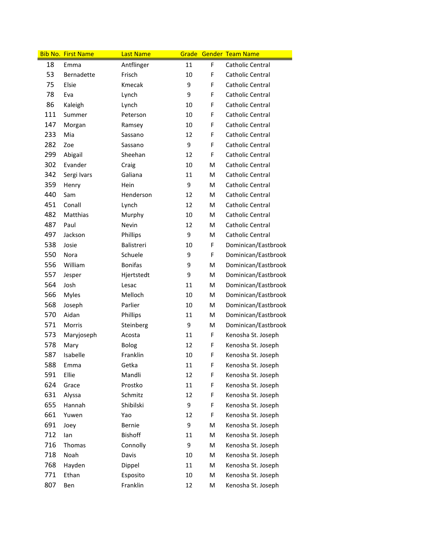|     | <b>Bib No. First Name</b> | <b>Last Name</b> |    |   | Grade Gender Team Name |
|-----|---------------------------|------------------|----|---|------------------------|
| 18  | Emma                      | Antflinger       | 11 | F | Catholic Central       |
| 53  | Bernadette                | Frisch           | 10 | F | Catholic Central       |
| 75  | Elsie                     | Kmecak           | 9  | F | Catholic Central       |
| 78  | Eva                       | Lynch            | 9  | F | Catholic Central       |
| 86  | Kaleigh                   | Lynch            | 10 | F | Catholic Central       |
| 111 | Summer                    | Peterson         | 10 | F | Catholic Central       |
| 147 | Morgan                    | Ramsey           | 10 | F | Catholic Central       |
| 233 | Mia                       | Sassano          | 12 | F | Catholic Central       |
| 282 | Zoe                       | Sassano          | 9  | F | Catholic Central       |
| 299 | Abigail                   | Sheehan          | 12 | F | Catholic Central       |
| 302 | Evander                   | Craig            | 10 | M | Catholic Central       |
| 342 | Sergi Ivars               | Galiana          | 11 | M | Catholic Central       |
| 359 | Henry                     | Hein             | 9  | M | Catholic Central       |
| 440 | Sam                       | Henderson        | 12 | м | Catholic Central       |
| 451 | Conall                    | Lynch            | 12 | M | Catholic Central       |
| 482 | Matthias                  | Murphy           | 10 | M | Catholic Central       |
| 487 | Paul                      | Nevin            | 12 | M | Catholic Central       |
| 497 | Jackson                   | Phillips         | 9  | M | Catholic Central       |
| 538 | Josie                     | Balistreri       | 10 | F | Dominican/Eastbrook    |
| 550 | Nora                      | Schuele          | 9  | F | Dominican/Eastbrook    |
| 556 | William                   | <b>Bonifas</b>   | 9  | M | Dominican/Eastbrook    |
| 557 | Jesper                    | Hjertstedt       | 9  | M | Dominican/Eastbrook    |
| 564 | Josh                      | Lesac            | 11 | M | Dominican/Eastbrook    |
| 566 | <b>Myles</b>              | Melloch          | 10 | M | Dominican/Eastbrook    |
| 568 | Joseph                    | Parlier          | 10 | M | Dominican/Eastbrook    |
| 570 | Aidan                     | Phillips         | 11 | M | Dominican/Eastbrook    |
| 571 | <b>Morris</b>             | Steinberg        | 9  | M | Dominican/Eastbrook    |
| 573 | Maryjoseph                | Acosta           | 11 | F | Kenosha St. Joseph     |
| 578 | Mary                      | Bolog            | 12 | F | Kenosha St. Joseph     |
| 587 | Isabelle                  | Franklin         | 10 | F | Kenosha St. Joseph     |
| 588 | Emma                      | Getka            | 11 | F | Kenosha St. Joseph     |
| 591 | Ellie                     | Mandli           | 12 | F | Kenosha St. Joseph     |
| 624 | Grace                     | Prostko          | 11 | F | Kenosha St. Joseph     |
| 631 | Alyssa                    | Schmitz          | 12 | F | Kenosha St. Joseph     |
| 655 | Hannah                    | Shibilski        | 9  | F | Kenosha St. Joseph     |
| 661 | Yuwen                     | Yao              | 12 | F | Kenosha St. Joseph     |
| 691 | Joey                      | Bernie           | 9  | M | Kenosha St. Joseph     |
| 712 | lan                       | <b>Bishoff</b>   | 11 | M | Kenosha St. Joseph     |
| 716 | Thomas                    | Connolly         | 9  | М | Kenosha St. Joseph     |
| 718 | Noah                      | Davis            | 10 | М | Kenosha St. Joseph     |
| 768 | Hayden                    | Dippel           | 11 | M | Kenosha St. Joseph     |
| 771 | Ethan                     | Esposito         | 10 | M | Kenosha St. Joseph     |
| 807 | Ben                       | Franklin         | 12 | M | Kenosha St. Joseph     |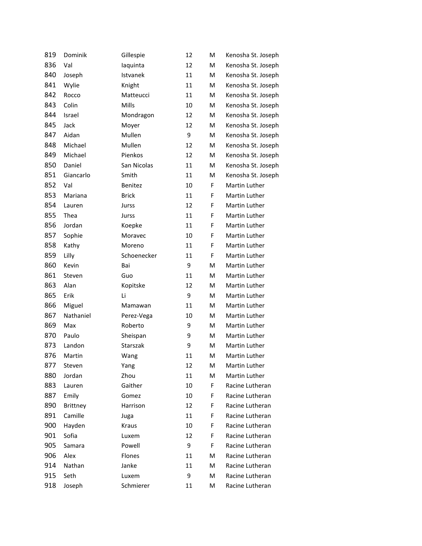| 819 | Dominik         | Gillespie    | 12 | M | Kenosha St. Joseph   |
|-----|-----------------|--------------|----|---|----------------------|
| 836 | Val             | laquinta     | 12 | M | Kenosha St. Joseph   |
| 840 | Joseph          | Istvanek     | 11 | M | Kenosha St. Joseph   |
| 841 | Wylie           | Knight       | 11 | M | Kenosha St. Joseph   |
| 842 | Rocco           | Matteucci    | 11 | M | Kenosha St. Joseph   |
| 843 | Colin           | Mills        | 10 | M | Kenosha St. Joseph   |
| 844 | Israel          | Mondragon    | 12 | M | Kenosha St. Joseph   |
| 845 | Jack            | Moyer        | 12 | M | Kenosha St. Joseph   |
| 847 | Aidan           | Mullen       | 9  | M | Kenosha St. Joseph   |
| 848 | Michael         | Mullen       | 12 | M | Kenosha St. Joseph   |
| 849 | Michael         | Pienkos      | 12 | M | Kenosha St. Joseph   |
| 850 | Daniel          | San Nicolas  | 11 | M | Kenosha St. Joseph   |
| 851 | Giancarlo       | Smith        | 11 | M | Kenosha St. Joseph   |
| 852 | Val             | Benitez      | 10 | F | <b>Martin Luther</b> |
| 853 | Mariana         | <b>Brick</b> | 11 | F | Martin Luther        |
| 854 | Lauren          | Jurss        | 12 | F | Martin Luther        |
| 855 | Thea            | Jurss        | 11 | F | Martin Luther        |
| 856 | Jordan          | Koepke       | 11 | F | Martin Luther        |
| 857 | Sophie          | Moravec      | 10 | F | Martin Luther        |
| 858 | Kathy           | Moreno       | 11 | F | Martin Luther        |
| 859 | Lilly           | Schoenecker  | 11 | F | Martin Luther        |
| 860 | Kevin           | Bai          | 9  | M | Martin Luther        |
| 861 | Steven          | Guo          | 11 | M | Martin Luther        |
| 863 | Alan            | Kopitske     | 12 | M | Martin Luther        |
| 865 | Erik            | Li           | 9  | M | Martin Luther        |
| 866 | Miguel          | Mamawan      | 11 | M | Martin Luther        |
| 867 | Nathaniel       | Perez-Vega   | 10 | M | Martin Luther        |
| 869 | Max             | Roberto      | 9  | M | Martin Luther        |
| 870 | Paulo           | Sheispan     | 9  | M | Martin Luther        |
| 873 | Landon          | Starszak     | 9  | M | Martin Luther        |
| 876 | Martin          | Wang         | 11 | M | Martin Luther        |
| 877 | Steven          | Yang         | 12 | M | Martin Luther        |
| 880 | Jordan          | Zhou         | 11 | М | Martin Luther        |
| 883 | Lauren          | Gaither      | 10 | F | Racine Lutheran      |
| 887 | Emily           | Gomez        | 10 | F | Racine Lutheran      |
| 890 | <b>Brittney</b> | Harrison     | 12 | F | Racine Lutheran      |
| 891 | Camille         | Juga         | 11 | F | Racine Lutheran      |
| 900 | Hayden          | Kraus        | 10 | F | Racine Lutheran      |
| 901 | Sofia           | Luxem        | 12 | F | Racine Lutheran      |
| 905 | Samara          | Powell       | 9  | F | Racine Lutheran      |
| 906 | Alex            | Flones       | 11 | M | Racine Lutheran      |
| 914 | Nathan          | Janke        | 11 | М | Racine Lutheran      |
| 915 | Seth            | Luxem        | 9  | M | Racine Lutheran      |
| 918 | Joseph          | Schmierer    | 11 | М | Racine Lutheran      |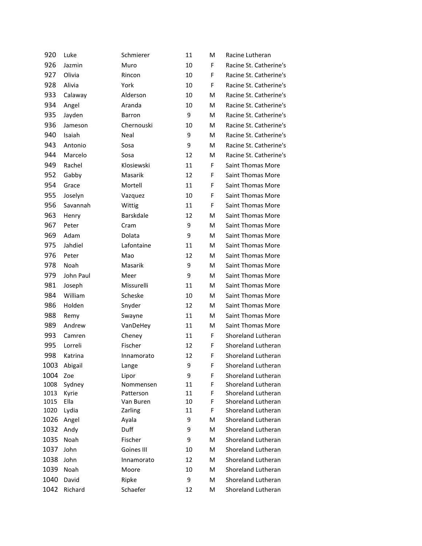| 920  | Luke      | Schmierer        | 11 | M | Racine Lutheran          |
|------|-----------|------------------|----|---|--------------------------|
| 926  | Jazmin    | Muro             | 10 | F | Racine St. Catherine's   |
| 927  | Olivia    | Rincon           | 10 | F | Racine St. Catherine's   |
| 928  | Alivia    | York             | 10 | F | Racine St. Catherine's   |
| 933  | Calaway   | Alderson         | 10 | M | Racine St. Catherine's   |
| 934  | Angel     | Aranda           | 10 | M | Racine St. Catherine's   |
| 935  | Jayden    | <b>Barron</b>    | 9  | M | Racine St. Catherine's   |
| 936  | Jameson   | Chernouski       | 10 | M | Racine St. Catherine's   |
| 940  | Isaiah    | Neal             | 9  | M | Racine St. Catherine's   |
| 943  | Antonio   | Sosa             | 9  | M | Racine St. Catherine's   |
| 944  | Marcelo   | Sosa             | 12 | M | Racine St. Catherine's   |
| 949  | Rachel    | Klosiewski       | 11 | F | Saint Thomas More        |
| 952  | Gabby     | Masarik          | 12 | F | <b>Saint Thomas More</b> |
| 954  | Grace     | Mortell          | 11 | F | <b>Saint Thomas More</b> |
| 955  | Joselyn   | Vazquez          | 10 | F | Saint Thomas More        |
| 956  | Savannah  | Wittig           | 11 | F | <b>Saint Thomas More</b> |
| 963  | Henry     | <b>Barskdale</b> | 12 | M | Saint Thomas More        |
| 967  | Peter     | Cram             | 9  | M | Saint Thomas More        |
| 969  | Adam      | Dolata           | 9  | M | <b>Saint Thomas More</b> |
| 975  | Jahdiel   | Lafontaine       | 11 | M | <b>Saint Thomas More</b> |
| 976  | Peter     | Mao              | 12 | M | Saint Thomas More        |
| 978  | Noah      | Masarik          | 9  | M | Saint Thomas More        |
| 979  | John Paul | Meer             | 9  | M | <b>Saint Thomas More</b> |
| 981  | Joseph    | Missurelli       | 11 | M | Saint Thomas More        |
| 984  | William   | Scheske          | 10 | M | <b>Saint Thomas More</b> |
| 986  | Holden    | Snyder           | 12 | M | <b>Saint Thomas More</b> |
| 988  | Remy      | Swayne           | 11 | M | <b>Saint Thomas More</b> |
| 989  | Andrew    | VanDeHey         | 11 | M | Saint Thomas More        |
| 993  | Camren    | Cheney           | 11 | F | Shoreland Lutheran       |
| 995  | Lorreli   | Fischer          | 12 | F | Shoreland Lutheran       |
| 998  | Katrina   | Innamorato       | 12 | F | Shoreland Lutheran       |
| 1003 | Abigail   | Lange            | 9  | F | Shoreland Lutheran       |
| 1004 | Zoe       | Lipor            | 9  | F | Shoreland Lutheran       |
| 1008 | Sydney    | Nommensen        | 11 | F | Shoreland Lutheran       |
| 1013 | Kyrie     | Patterson        | 11 | F | Shoreland Lutheran       |
| 1015 | Ella      | Van Buren        | 10 | F | Shoreland Lutheran       |
| 1020 | Lydia     | Zarling          | 11 | F | Shoreland Lutheran       |
| 1026 | Angel     | Ayala            | 9  | M | Shoreland Lutheran       |
| 1032 | Andy      | Duff             | 9  | M | Shoreland Lutheran       |
| 1035 | Noah      | Fischer          | 9  | M | Shoreland Lutheran       |
| 1037 | John      | Goines III       | 10 | M | Shoreland Lutheran       |
| 1038 | John      | Innamorato       | 12 | M | Shoreland Lutheran       |
| 1039 | Noah      | Moore            | 10 | M | Shoreland Lutheran       |
| 1040 | David     | Ripke            | 9  | M | Shoreland Lutheran       |
| 1042 | Richard   | Schaefer         | 12 | M | Shoreland Lutheran       |